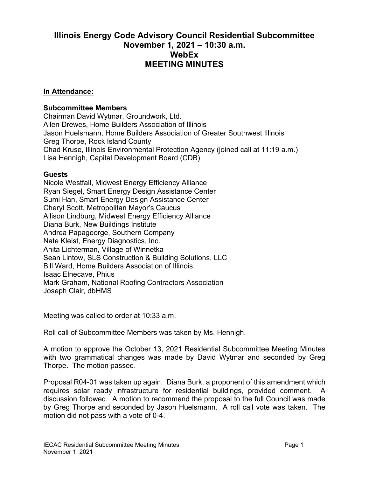## **Illinois Energy Code Advisory Council Residential Subcommittee November 1, 2021 – 10:30 a.m. WebEx MEETING MINUTES**

## **In Attendance:**

## **Subcommittee Members**

Chairman David Wytmar, Groundwork, Ltd. Allen Drewes, Home Builders Association of Illinois Jason Huelsmann, Home Builders Association of Greater Southwest Illinois Greg Thorpe, Rock Island County Chad Kruse, Illinois Environmental Protection Agency (joined call at 11:19 a.m.) Lisa Hennigh, Capital Development Board (CDB)

## **Guests**

Nicole Westfall, Midwest Energy Efficiency Alliance Ryan Siegel, Smart Energy Design Assistance Center Sumi Han, Smart Energy Design Assistance Center Cheryl Scott, Metropolitan Mayor's Caucus Allison Lindburg, Midwest Energy Efficiency Alliance Diana Burk, New Buildings Institute Andrea Papageorge, Southern Company Nate Kleist, Energy Diagnostics, Inc. Anita Lichterman, Village of Winnetka Sean Lintow, SLS Construction & Building Solutions, LLC Bill Ward, Home Builders Association of Illinois Isaac Elnecave, Phius Mark Graham, National Roofing Contractors Association Joseph Clair, dbHMS

Meeting was called to order at 10:33 a.m.

Roll call of Subcommittee Members was taken by Ms. Hennigh.

A motion to approve the October 13, 2021 Residential Subcommittee Meeting Minutes with two grammatical changes was made by David Wytmar and seconded by Greg Thorpe. The motion passed.

Proposal R04-01 was taken up again. Diana Burk, a proponent of this amendment which requires solar ready infrastructure for residential buildings, provided comment. A discussion followed. A motion to recommend the proposal to the full Council was made by Greg Thorpe and seconded by Jason Huelsmann. A roll call vote was taken. The motion did not pass with a vote of 0-4.